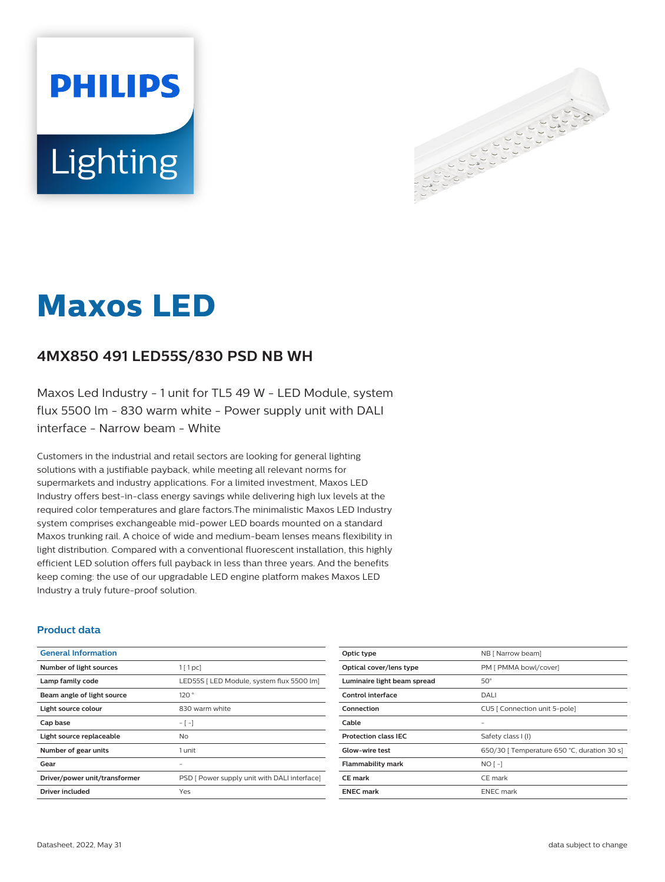# **PHILIPS** Lighting



# **Maxos LED**

# **4MX850 491 LED55S/830 PSD NB WH**

Maxos Led Industry - 1 unit for TL5 49 W - LED Module, system flux 5500 lm - 830 warm white - Power supply unit with DALI interface - Narrow beam - White

Customers in the industrial and retail sectors are looking for general lighting solutions with a justifiable payback, while meeting all relevant norms for supermarkets and industry applications. For a limited investment, Maxos LED Industry offers best-in-class energy savings while delivering high lux levels at the required color temperatures and glare factors.The minimalistic Maxos LED Industry system comprises exchangeable mid-power LED boards mounted on a standard Maxos trunking rail. A choice of wide and medium-beam lenses means flexibility in light distribution. Compared with a conventional fluorescent installation, this highly efficient LED solution offers full payback in less than three years. And the benefits keep coming: the use of our upgradable LED engine platform makes Maxos LED Industry a truly future-proof solution.

#### **Product data**

| <b>General Information</b>    |                                              |
|-------------------------------|----------------------------------------------|
| Number of light sources       | $1$ [ 1 pc]                                  |
| Lamp family code              | LED55S   LED Module, system flux 5500 lm]    |
| Beam angle of light source    | 120°                                         |
| Light source colour           | 830 warm white                               |
| Cap base                      | $-[-]$                                       |
| Light source replaceable      | No.                                          |
| Number of gear units          | 1 unit                                       |
| Gear                          |                                              |
| Driver/power unit/transformer | PSD [ Power supply unit with DALI interface] |
| Driver included               | Yes                                          |
|                               |                                              |

| Optic type                  | NB [ Narrow beam]                           |
|-----------------------------|---------------------------------------------|
| Optical cover/lens type     | PM [ PMMA bowl/cover]                       |
| Luminaire light beam spread | $50^\circ$                                  |
| Control interface           | DALI                                        |
| Connection                  | CU5   Connection unit 5-pole]               |
| Cable                       |                                             |
| <b>Protection class IEC</b> | Safety class I (I)                          |
| Glow-wire test              | 650/30   Temperature 650 °C, duration 30 s] |
| <b>Flammability mark</b>    | $NO$ [ -]                                   |
| <b>CE</b> mark              | CE mark                                     |
| <b>ENEC mark</b>            | <b>ENEC</b> mark                            |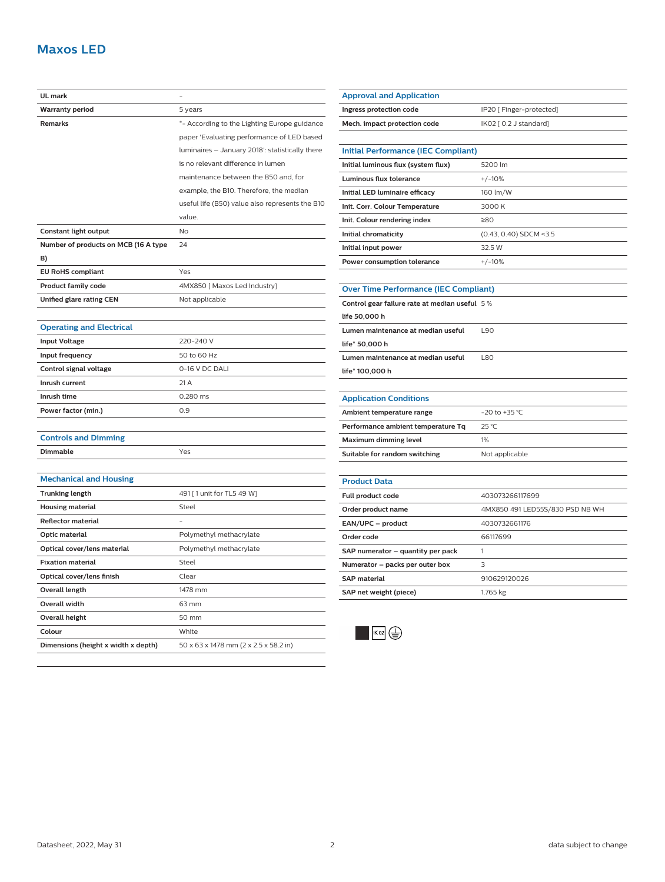## **Maxos LED**

| UL mark                              |                                                 |
|--------------------------------------|-------------------------------------------------|
| <b>Warranty period</b>               | 5 years                                         |
| <b>Remarks</b>                       | *- According to the Lighting Europe guidance    |
|                                      | paper 'Evaluating performance of LED based      |
|                                      | luminaires - January 2018': statistically there |
|                                      | is no relevant difference in lumen              |
|                                      | maintenance between the B50 and, for            |
|                                      | example, the B10. Therefore, the median         |
|                                      | useful life (B50) value also represents the B10 |
|                                      | value.                                          |
| <b>Constant light output</b>         | No                                              |
| Number of products on MCB (16 A type | 24                                              |
| B)                                   |                                                 |
| <b>EU RoHS compliant</b>             | Yes                                             |
| <b>Product family code</b>           | 4MX850 [ Maxos Led Industry]                    |
| Unified glare rating CEN             | Not applicable                                  |
|                                      |                                                 |
| <b>Operating and Electrical</b>      |                                                 |
| <b>Input Voltage</b>                 | 220-240 V                                       |
| Input frequency                      | 50 to 60 Hz                                     |
| Control signal voltage               | 0-16 V DC DALI                                  |
| Inrush current                       | 21 A                                            |
| Inrush time                          | 0.280 ms                                        |
| Power factor (min.)                  | 0.9                                             |
|                                      |                                                 |
| <b>Controls and Dimming</b>          |                                                 |
| Dimmable                             | Yes                                             |
|                                      |                                                 |
| <b>Mechanical and Housing</b>        |                                                 |
| <b>Trunking length</b>               | 491 [1 unit for TL5 49 W]                       |
| <b>Housing material</b>              | Steel                                           |
| <b>Reflector material</b>            |                                                 |
| Optic material                       | Polymethyl methacrylate                         |
| Optical cover/lens material          | Polymethyl methacrylate                         |
| <b>Fixation material</b>             | Steel                                           |
| Optical cover/lens finish            | Clear                                           |
| <b>Overall length</b>                | 1478 mm                                         |
| <b>Overall width</b>                 | 63 mm                                           |
| <b>Overall height</b>                | 50 mm                                           |
| Colour                               | White                                           |
| Dimensions (height x width x depth)  | 50 x 63 x 1478 mm (2 x 2.5 x 58.2 in)           |

| <b>Approval and Application</b>               |                                 |  |
|-----------------------------------------------|---------------------------------|--|
| Ingress protection code                       | IP20 [ Finger-protected]        |  |
| Mech. impact protection code                  | IK02 [ 0.2 J standard]          |  |
|                                               |                                 |  |
| <b>Initial Performance (IEC Compliant)</b>    |                                 |  |
| Initial luminous flux (system flux)           | 5200 lm                         |  |
| Luminous flux tolerance                       | $+/-10%$                        |  |
| Initial LED luminaire efficacy                | 160 lm/W                        |  |
| Init. Corr. Colour Temperature                | 3000 K                          |  |
| Init. Colour rendering index                  | ≥80                             |  |
| Initial chromaticity                          | (0.43, 0.40) SDCM <3.5          |  |
| Initial input power                           | 32.5 W                          |  |
| Power consumption tolerance                   | $+/-10%$                        |  |
|                                               |                                 |  |
| <b>Over Time Performance (IEC Compliant)</b>  |                                 |  |
| Control gear failure rate at median useful 5% |                                 |  |
| life 50,000 h                                 |                                 |  |
| Lumen maintenance at median useful            | L90                             |  |
| life* 50,000 h                                |                                 |  |
| Lumen maintenance at median useful            | <b>L80</b>                      |  |
| life* 100,000 h                               |                                 |  |
|                                               |                                 |  |
| <b>Application Conditions</b>                 |                                 |  |
| Ambient temperature range                     | $-20$ to $+35$ °C               |  |
| Performance ambient temperature Tq            | 25 °C                           |  |
| <b>Maximum dimming level</b>                  | 1%                              |  |
| Suitable for random switching                 | Not applicable                  |  |
|                                               |                                 |  |
| <b>Product Data</b>                           |                                 |  |
| Full product code                             | 403073266117699                 |  |
| Order product name                            | 4MX850 491 LED55S/830 PSD NB WH |  |
|                                               |                                 |  |
| EAN/UPC - product                             | 4030732661176                   |  |
| Order code                                    | 66117699                        |  |
| SAP numerator - quantity per pack             | 1                               |  |
| Numerator - packs per outer box               | 3                               |  |
| <b>SAP material</b>                           | 910629120026                    |  |